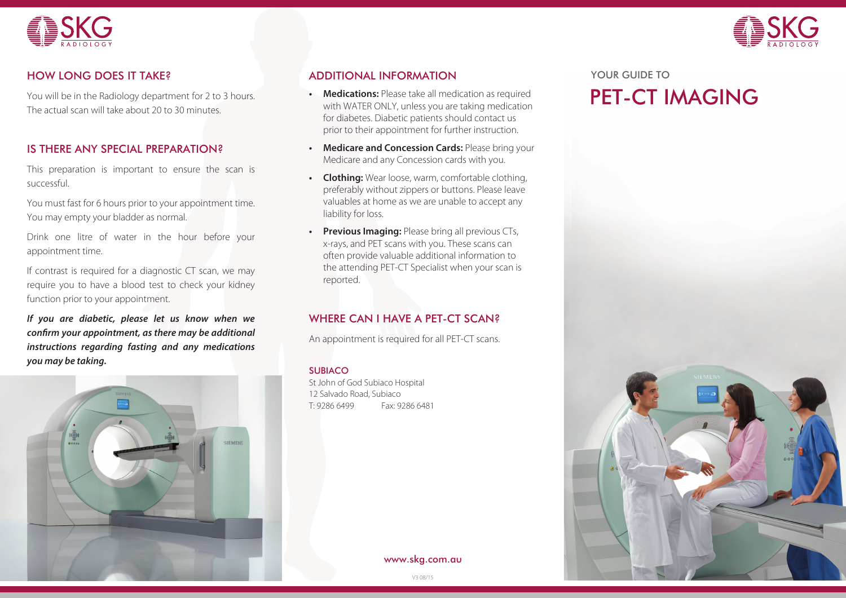



You will be in the Radiology department for 2 to 3 hours. The actual scan will take about 20 to 30 minutes.

# IS THERE ANY SPECIAL PREPARATION?

This preparation is important to ensure the scan is successful.

You must fast for 6 hours prior to your appointment time. You may empty your bladder as normal.

Drink one litre of water in the hour before your appointment time.

If contrast is required for a diagnostic CT scan, we may require you to have a blood test to check your kidney function prior to your appointment.

*If you are diabetic, please let us know when we confirm your appointment, as there may be additional instructions regarding fasting and any medications you may be taking.*



## HOW LONG DOES IT TAKE? YOUR GUIDE TO ADDITIONAL INFORMATION

- **• Medications:** Please take all medication as required with WATER ONLY, unless you are taking medication for diabetes. Diabetic patients should contact us prior to their appointment for further instruction.
- **• Medicare and Concession Cards:** Please bring your Medicare and any Concession cards with you.
- **• Clothing:** Wear loose, warm, comfortable clothing, preferably without zippers or buttons. Please leave valuables at home as we are unable to accept any liability for loss.
- **Previous Imaging:** Please bring all previous CTs, x-rays, and PET scans with you. These scans can often provide valuable additional information to the attending PET-CT Specialist when your scan is reported.

## WHERE CAN I HAVE A PET-CT SCAN?

An appointment is required for all PET-CT scans.

### SUBIACO

St John of God Subiaco Hospital 12 Salvado Road, Subiaco T: 9286 6499 Fax: 9286 6481

www.skg.com.au

PET-CT IMAGING



V3 08/15